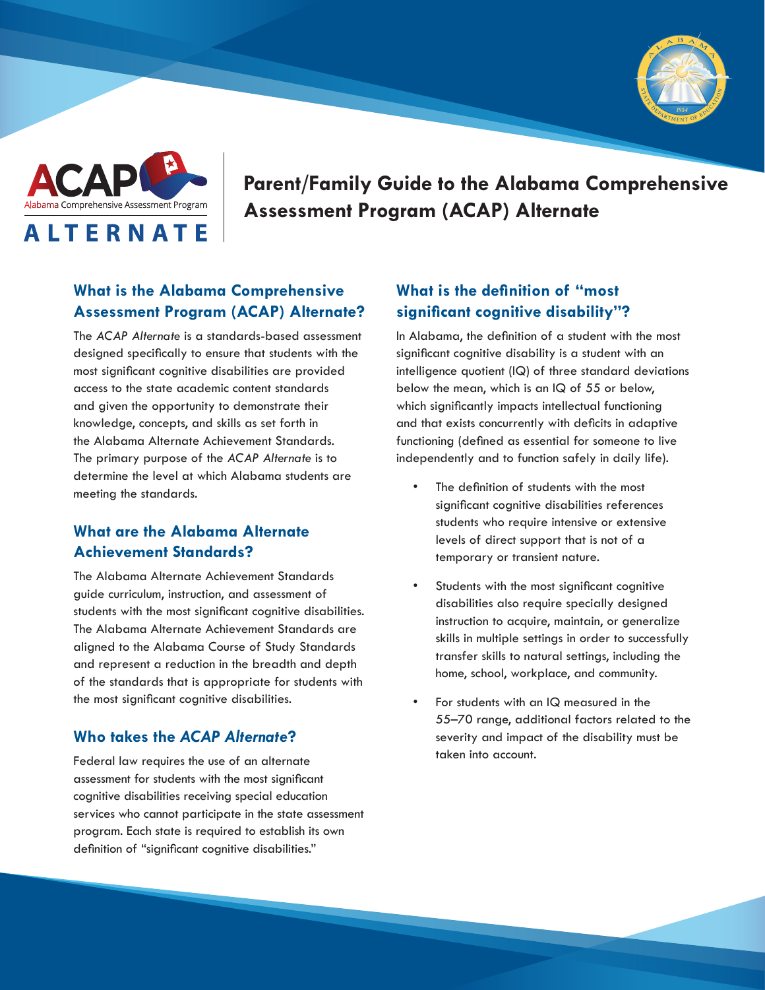



**Parent/Family Guide to the Alabama Comprehensive Assessment Program (ACAP) Alternate**

## **What is the Alabama Comprehensive Assessment Program (ACAP) Alternate?**

The *ACAP Alternate* is a standards-based assessment designed specifically to ensure that students with the most significant cognitive disabilities are provided access to the state academic content standards and given the opportunity to demonstrate their knowledge, concepts, and skills as set forth in the Alabama Alternate Achievement Standards. The primary purpose of the *ACAP Alternate* is to determine the level at which Alabama students are meeting the standards.

# **What are the Alabama Alternate Achievement Standards?**

The Alabama Alternate Achievement Standards guide curriculum, instruction, and assessment of students with the most significant cognitive disabilities. The Alabama Alternate Achievement Standards are aligned to the Alabama Course of Study Standards and represent a reduction in the breadth and depth of the standards that is appropriate for students with the most significant cognitive disabilities.

#### **Who takes the** *ACAP Alternate***?**

Federal law requires the use of an alternate assessment for students with the most significant cognitive disabilities receiving special education services who cannot participate in the state assessment program. Each state is required to establish its own definition of "significant cognitive disabilities."

# **What is the definition of "most significant cognitive disability"?**

In Alabama, the definition of a student with the most significant cognitive disability is a student with an intelligence quotient (IQ) of three standard deviations below the mean, which is an IQ of 55 or below, which significantly impacts intellectual functioning and that exists concurrently with deficits in adaptive functioning (defined as essential for someone to live independently and to function safely in daily life).

- The definition of students with the most significant cognitive disabilities references students who require intensive or extensive levels of direct support that is not of a temporary or transient nature.
- Students with the most significant cognitive disabilities also require specially designed instruction to acquire, maintain, or generalize skills in multiple settings in order to successfully transfer skills to natural settings, including the home, school, workplace, and community.
- For students with an IQ measured in the 55–70 range, additional factors related to the severity and impact of the disability must be taken into account.